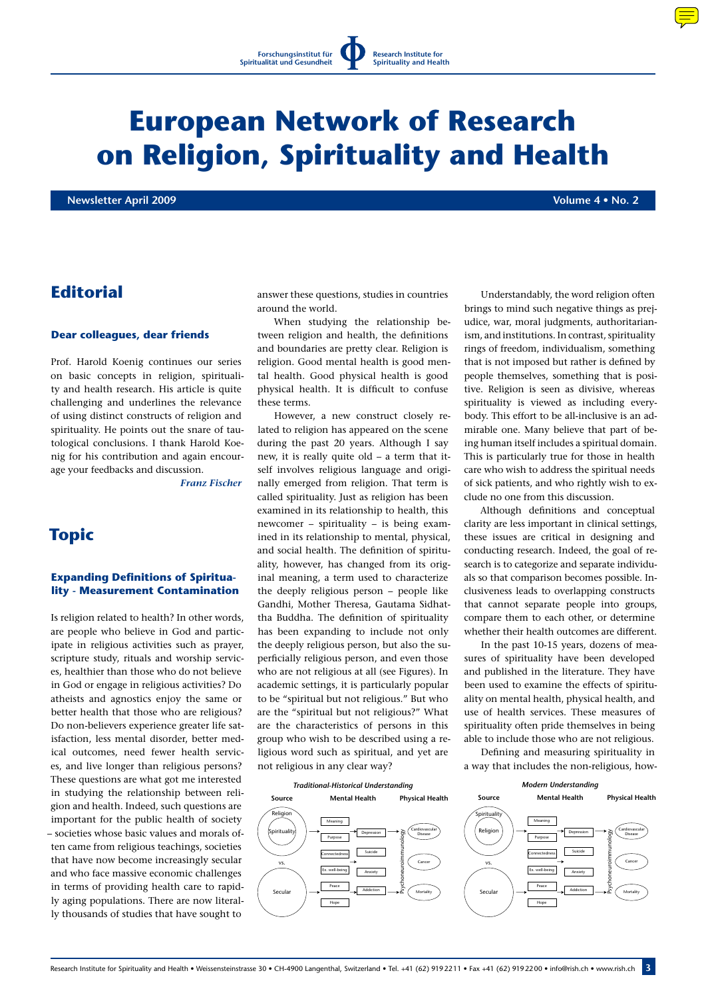# **European Network of Research on Religion, Spirituality and Health**

**Newsletter April 2009 Volume 4 • No. 2**

## **Editorial**

#### **Dear colleagues, dear friends**

Prof. Harold Koenig continues our series on basic concepts in religion, spirituality and health research. His article is quite challenging and underlines the relevance of using distinct constructs of religion and spirituality. He points out the snare of tautological conclusions. I thank Harold Koenig for his contribution and again encourage your feedbacks and discussion.

*Franz Fischer*

# **Topic**

## **Expanding Definitions of Spirituality - Measurement Contamination**

Is religion related to health? In other words, are people who believe in God and participate in religious activities such as prayer, scripture study, rituals and worship services, healthier than those who do not believe in God or engage in religious activities? Do atheists and agnostics enjoy the same or better health that those who are religious? Do non-believers experience greater life satisfaction, less mental disorder, better medical outcomes, need fewer health services, and live longer than religious persons? These questions are what got me interested in studying the relationship between religion and health. Indeed, such questions are important for the public health of society – societies whose basic values and morals often came from religious teachings, societies that have now become increasingly secular and who face massive economic challenges in terms of providing health care to rapidly aging populations. There are now literally thousands of studies that have sought to

answer these questions, studies in countries around the world.

When studying the relationship between religion and health, the definitions and boundaries are pretty clear. Religion is religion. Good mental health is good mental health. Good physical health is good physical health. It is difficult to confuse these terms.

However, a new construct closely related to religion has appeared on the scene during the past 20 years. Although I say new, it is really quite old – a term that itself involves religious language and originally emerged from religion. That term is called spirituality. Just as religion has been examined in its relationship to health, this newcomer – spirituality – is being examined in its relationship to mental, physical, and social health. The definition of spirituality, however, has changed from its original meaning, a term used to characterize the deeply religious person – people like Gandhi, Mother Theresa, Gautama Sidhattha Buddha. The definition of spirituality has been expanding to include not only the deeply religious person, but also the superficially religious person, and even those who are not religious at all (see Figures). In academic settings, it is particularly popular to be "spiritual but not religious." But who are the "spiritual but not religious?" What are the characteristics of persons in this group who wish to be described using a religious word such as spiritual, and yet are not religious in any clear way?

Understandably, the word religion often brings to mind such negative things as prejudice, war, moral judgments, authoritarianism, and institutions. In contrast, spirituality rings of freedom, individualism, something that is not imposed but rather is defined by people themselves, something that is positive. Religion is seen as divisive, whereas spirituality is viewed as including everybody. This effort to be all-inclusive is an admirable one. Many believe that part of being human itself includes a spiritual domain. This is particularly true for those in health care who wish to address the spiritual needs of sick patients, and who rightly wish to exclude no one from this discussion.

Although definitions and conceptual clarity are less important in clinical settings, these issues are critical in designing and conducting research. Indeed, the goal of research is to categorize and separate individuals so that comparison becomes possible. Inclusiveness leads to overlapping constructs that cannot separate people into groups, compare them to each other, or determine whether their health outcomes are different.

In the past 10-15 years, dozens of measures of spirituality have been developed and published in the literature. They have been used to examine the effects of spirituality on mental health, physical health, and use of health services. These measures of spirituality often pride themselves in being able to include those who are not religious.

Defining and measuring spirituality in a way that includes the non-religious, how-*Modern Understanding*